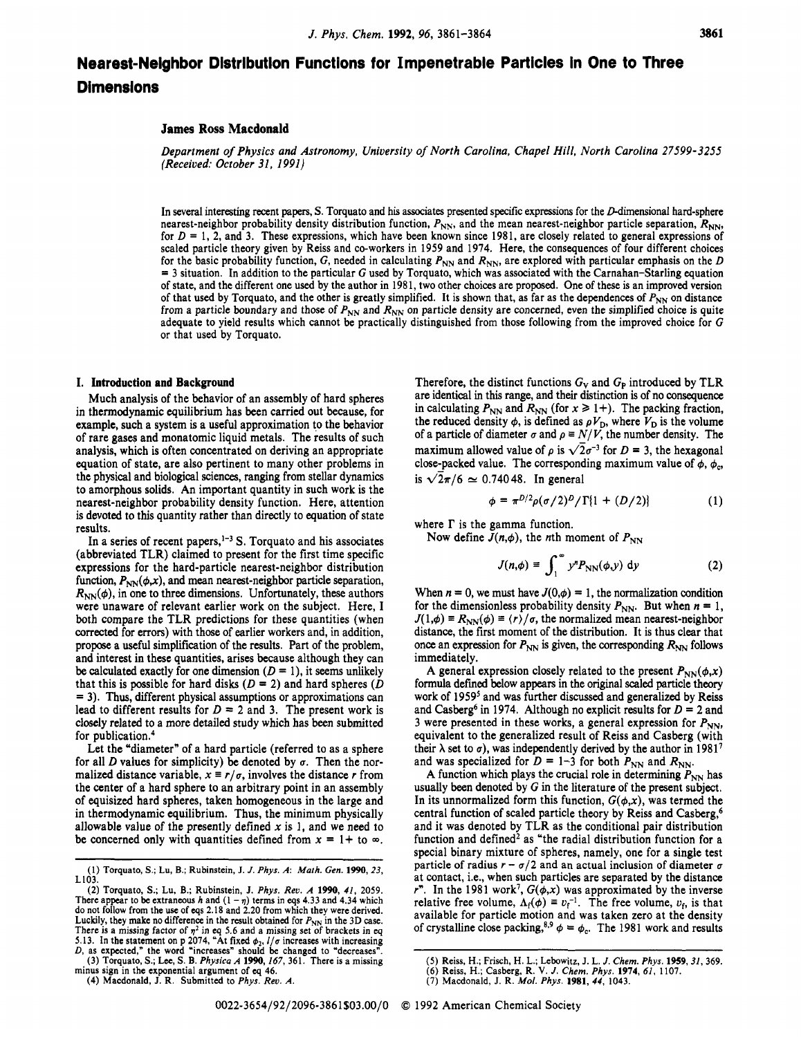# **Nearest-Neighbor Distribution Functions for Impenetrable Particles in One to Three Dimensions**

# **James Ross Macdonald**

*Department of Physics and Astronomy, University of North Carolina, Chapel Hill, North Carolina 27599-3255 (Received: October 31, 1991)* 

In several interesting recent papers, S. Torquato and his associates presented specific expressions for the D-dimensional hard-sphere nearest-neighbor probability density distribution function,  $P_{NN}$ , and the mean nearest-neighbor particle separation,  $R_{NN}$ , for  $D = 1$ , 2, and 3. These expressions, which have been known since 1981, are closely related to general expressions of scaled particle theory given by Reiss and co-workers in 1959 and 1974. Here, the consequences of four different choices for the basic probability function, G, needed in calculating  $P_{NN}$  and  $R_{NN}$ , are explored with par  $=$  3 situation. In addition to the particular G used by Torquato, which was associated with the Carnahan–Starling equation of state, and the different one used by the author in 1981, two other choices are proposed. One of these is an improved version of that used by Torquato, and the other is greatly simplified. It is shown that, as far as the dependences of  $P_{NN}$  on distance from a particle boundary and those of  $P_{NN}$  and  $R_{NN}$  on particle density are concerned, even the simplified choice is quite adequate to yield results which cannot be practically distinguished from those following from the improved choice for *G*  or that used by Torquato.

#### **I. Introduction and Background**

Much analysis of the behavior of an assembly of hard spheres in thermodynamic equilibrium has been carried out because, for example, such a system is a useful approximation **to** the behavior of rare gases and monatomic liquid metals. The results of such analysis, which is often concentrated on deriving an appropriate equation of state, are also pertinent to many other problems in the physical and biological sciences, ranging from stellar dynamics to amorphous solids. An important quantity in such work is the nearest-neighbor probability density function. Here, attention is devoted to this quantity rather than directly to equation of state results.

In a series of recent papers,<sup>1-3</sup> S. Torquato and his associates (abbreviated TLR) claimed to present for the first time specific expressions for the hard-particle nearest-neighbor distribution function,  $P_{NN}(\phi, x)$ , and mean nearest-neighbor particle separation,  $R_{NN}(\phi)$ , in one to three dimensions. Unfortunately, these authors were unaware of relevant earlier work on the subject. Here, I both compare the TLR predictions for these quantities (when corrected for errors) with those of earlier workers and, in addition, propose a useful simplification of the results. Part of the problem, and interest in these quantities, arises because although they can be calculated exactly for one dimension  $(D = 1)$ , it seems unlikely that this is possible for hard disks  $(D = 2)$  and hard spheres  $(D \mid D)$ = **3).** Thus, different physical assumptions or approximations can lead to different results for  $D = 2$  and 3. The present work is closely related to a more detailed study which has been submitted for publication. $4$ 

Let the "diameter' of a hard particle (referred to as a sphere for all *D* values for simplicity) be denoted by  $\sigma$ . Then the normalized distance variable,  $x \equiv r/\sigma$ , involves the distance *r* from the center of a hard sphere to an arbitrary point in an assembly of equisized hard spheres, taken homogeneous in the large and in thermodynamic equilibrium. Thus, the minimum physically allowable value of the presently defined  $x$  is 1, and we need to be concerned only with quantities defined from  $x = 1 + i\omega \infty$ .

(2) Torquato, S.; Lu, B.; Rubinstein, J. Phys. Rev. A 1990, 41, 2059.<br>There appear to be extraneous h and  $(1 - \eta)$  terms in eqs 4.33 and 4.34 which do not follow from the use of eqs 2.18 and 2.20 from which they were deri Luckily, they make no difference in the result obtained for  $P_{NN}$  in the 3D case. There is a missing factor of  $\eta^2$  in eq 5.6 and a mission of  $r_{NN}$  in the 51D case.<br>5.13. In the statement on p 2074, "At fixed  $\phi_2$ ,  $l/\sigma$  increases with increasing 5.13. In the statement on p 2074, "At fixed  $\phi_2$ 

**(3) Torquato, S.; Lee, S. B.** *Physica A* **1990,** *167,* **361. There is a missing minus sign in the exponential argument of eq 46.** 

**(4) Macdonald, J. R. Submitted** to *Phys. Rev. A.* 

Therefore, the distinct functions  $G_V$  and  $G_P$  introduced by TLR are identical in this range, and their distinction is of no consequence in calculating  $P_{NN}$  and  $R_{NN}$  (for  $x \ge 1+$ ). The packing fraction, the reduced density  $\phi$ , is defined as  $\rho V_D$ , where  $V_D$  is the volume of a particle of diameter  $\sigma$  and  $\rho \equiv N/V$ , the number density. The maximum allowed value of  $\rho$  is  $\sqrt{2}\sigma^{-3}$  for  $D = 3$ , the hexagonal close-packed value. The corresponding maximum value of  $\phi$ ,  $\phi_c$ , is  $\sqrt{2\pi/6} \approx 0.74048$ . In general

$$
\phi = \pi^{D/2} \rho(\sigma/2)^D / \Gamma\{1 + (D/2)\} \tag{1}
$$

where  $\Gamma$  is the gamma function.

Now define  $J(n,\phi)$ , the *n*th moment of  $P_{NN}$ 

$$
J(n,\phi) \equiv \int_1^\infty y^n P_{\rm NN}(\phi, y) \, \mathrm{d}y \tag{2}
$$

When  $n = 0$ , we must have  $J(0, \phi) = 1$ , the normalization condition for the dimensionless probability density  $P_{NN}$ . But when  $n = 1$ ,  $J(1,\phi) = R_{NN}(\phi) = \langle r \rangle / \sigma$ , the normalized mean nearest-neighbor distance, the first moment of the distribution. It is thus clear that once an expression for  $P_{NN}$  is given, the corresponding  $R_{NN}$  follows immediately.

A general expression closely related to the present  $P_{NN}(\phi, x)$ formula defined below appears in the original scaled particle theory work of 19595 and was further discussed and generalized by Reiss and Casberg<sup>6</sup> in 1974. Although no explicit results for  $D = 2$  and 3 were presented in these works, a general expression for  $P_{NN}$ , equivalent to the generalized result of Reiss and Casberg (with their  $\lambda$  set to  $\sigma$ ), was independently derived by the author in 1981<sup>7</sup> and was specialized for  $D = 1-3$  for both  $P_{NN}$  and  $R_{NN}$ .

A function which plays the crucial role in determining  $P_{NN}$  has usually been denoted by G in the literature of the present subject. In its unnormalized form this function,  $G(\phi, x)$ , was termed the central function of scaled particle theory by Reiss and Casberg,<sup>6</sup> and it was denoted by TLR as the conditional pair distribution function and defined<sup>2</sup> as "the radial distribution function for a special binary mixture of spheres, namely, one for a single test particle of radius  $r - \sigma/2$  and an actual inclusion of diameter  $\sigma$ at contact, i.e., when such particles are separated by the distance  $r^n$ . In the 1981 work<sup>7</sup>,  $G(\phi, x)$  was approximated by the inverse relative free volume,  $\Lambda_f(\phi) = v_f^{-1}$ . The free volume,  $v_f$ , is that available for particle motion and was taken zero at the density of crystalline close packing,<sup>8,9</sup>  $\phi = \phi_c$ . The 1981 work and results

**<sup>(1)</sup> Torquato, S.; Lu, B.; Rubinstein, J.** *J. Phys. A: Math. Gen.* **1990,** *23,*  **L103.** 

<sup>(5)</sup> Reiss, H.; Frisch, H. L.; Lebowitz, J. L. J. Chem. Phys. 1959, 31, 369.<br>(6) Reiss, H.; Casberg, R. V. J. Chem. Phys. 1974, 61, 1107.<br>(7) Macdonald, J. R. *Mol. Phys.* 1981, 44, 1043.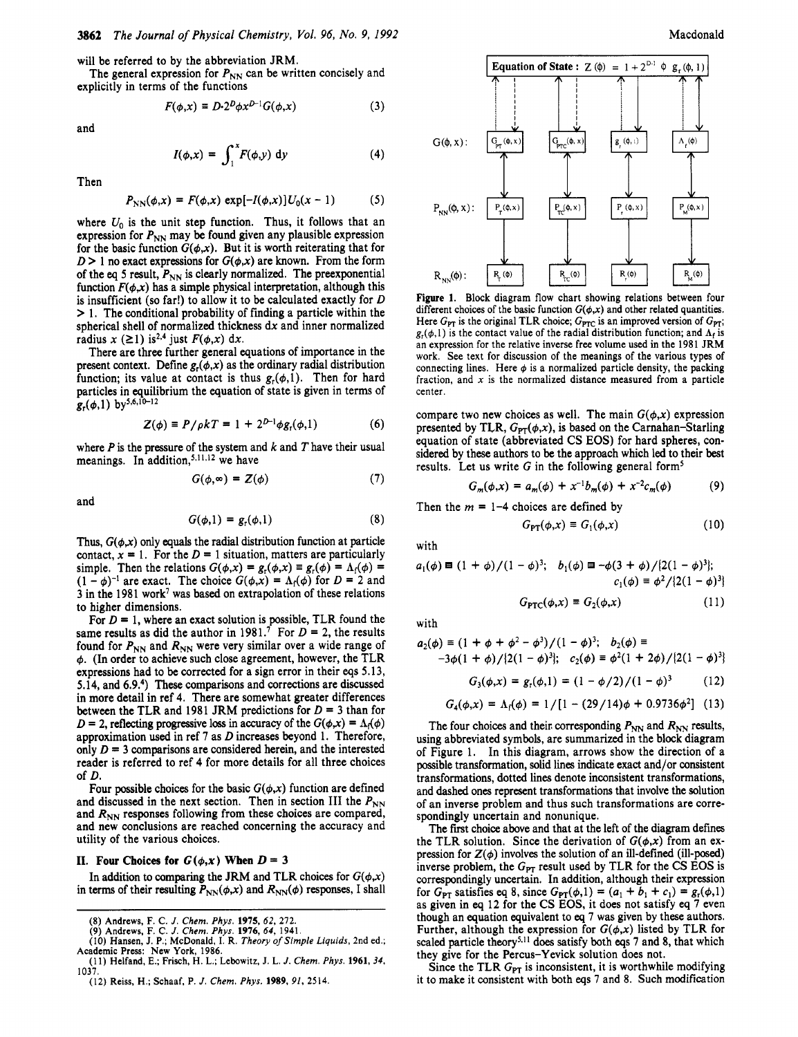will be referred to by the abbreviation JRM.

explicitly in terms of the functions The general expression for  $P_{NN}$  can be written concisely and

$$
F(\phi, x) \equiv D \cdot 2^D \phi x^{D-1} G(\phi, x) \tag{3}
$$

and

$$
I(\phi, x) = \int_1^x F(\phi, y) \, \mathrm{d}y \tag{4}
$$

Then

$$
P_{NN}(\phi, x) = F(\phi, x) \exp[-I(\phi, x)] U_0(x - 1)
$$
 (5)

where  $U_0$  is the unit step function. Thus, it follows that an expression for  $P_{NN}$  may be found given any plausible expression for the basic function  $G(\phi, x)$ . But it is worth reiterating that for  $D > 1$  no exact expressions for  $G(\phi, x)$  are known. From the form of the eq 5 result,  $P_{NN}$  is clearly normalized. The preexponential function  $F(\phi, x)$  has a simple physical interpretation, although this is insufficient (so far!) to allow it to be calculated exactly for *D*  > **1.** The conditional probability of finding a particle within the spherical shell of normalized thickness dx and inner normalized radius  $x$  ( $\geq$ 1) is<sup>2,4</sup> just  $F(\phi, x)$  dx.

There are three further general equations of importance in the present context. Define  $g_r(\phi, x)$  as the ordinary radial distribution function; its value at contact is thus  $g_r(\phi,1)$ . Then for hard particles in equilibrium the equation of state is given in terms of  $g_r(\phi,1)$  by<sup>5,6,10-12</sup>

$$
Z(\phi) = P/\rho kT = 1 + 2^{D-1}\phi g_r(\phi, 1)
$$
 (6)

where *P* is the pressure of the system and *k* and *T* have their usual meanings. In addition,<sup>5,11,12</sup> we have

$$
G(\phi, \infty) = Z(\phi) \tag{7}
$$

and

$$
G(\phi,1) = g_r(\phi,1) \tag{8}
$$

Thus,  $G(\phi, x)$  only equals the radial distribution function at particle contact,  $x = 1$ . For the  $D = 1$  situation, matters are particularly simple. Then the relations  $G(\phi, x) = g_f(\phi, x) = g_f(\phi) = \Lambda_f(\phi) =$  $(1 - \phi)^{-1}$  are exact. The choice  $G(\phi, x) = \Lambda_f(\phi)$  for  $D = 2$  and **3** in the **1981** work7 was based **on** extrapolation of these relations to higher dimensions.

For  $D = 1$ , where an exact solution is possible, TLR found the same results as did the author in  $1981$ .<sup>7</sup> For  $D = 2$ , the results found for  $P_{NN}$  and  $R_{NN}$  were very similar over a wide range of **4. (In** order to achieve such close agreement, however, the TLR expressions had to be corrected for a sign error in their **eqs 5.13, 5.14,** and **6.9.4)** These comparisons and corrections are discussed in more detail in ref **4.** There are somewhat greater differences between the TLR and 1981 JRM predictions for  $D = 3$  than for  $D = 2$ , reflecting progressive loss in accuracy of the  $G(\phi, x) = \Lambda_f(\phi)$ approximation used in ref *7* as *D* increases beyond **1.** Therefore, only  $D = 3$  comparisons are considered herein, and the interested reader is referred to ref **4** for more details for all three choices of *D.* 

Four possible choices for the basic  $G(\phi, x)$  function are defined and discussed in the next section. Then in section III the  $P_{NN}$ and  $R_{NN}$  responses following from these choices are compared, and new conclusions are reached concerning the accuracy and utility of the various choices.

# **11. Four Choices for**  $G(\phi, x)$  **When**  $D = 3$

In addition to comparing the JRM and TLR choices for  $G(\phi, x)$ in terms of their resulting  $P_{NN}(\phi, x)$  and  $R_{NN}(\phi)$  responses, I shall



**Figure 1. Block diagram flow chart showing relations between four**  different choices of the basic function  $G(\phi, x)$  and other related quantities. Here  $G_{PT}$  is the original TLR choice;  $G_{PTC}$  is an improved version of  $G_{PT}$ ;  $g_r(\phi,1)$  is the contact value of the radial distribution function; and  $\Lambda_f$  is an **expression for the relative inverse free volume used in the 1981 JRM work. See text for discussion of the meanings of the various types of**  connecting lines. Here  $\phi$  is a normalized particle density, the packing **fraction, and** *x* **is the normalized distance measured from a particle center.** 

compare two new choices as well. The main  $G(\phi, x)$  expression presented by TLR,  $G_{PT}(\phi, x)$ , is based on the Carnahan-Starling equation of state (abbreviated CS **EOS)** for hard spheres, considered by these authors to be the approach which led to their best results. Let us write  $G$  in the following general form<sup>5</sup>

$$
G_m(\phi, x) = a_m(\phi) + x^{-1}b_m(\phi) + x^{-2}c_m(\phi) \tag{9}
$$

Then the  $m = 1-4$  choices are defined by

$$
G_{\text{PT}}(\phi, x) \equiv G_1(\phi, x) \tag{10}
$$

with

$$
a_1(\phi) \equiv (1 + \phi)/(1 - \phi)^3
$$
;  $b_1(\phi) \equiv -\phi(3 + \phi)/(2(1 - \phi)^3)$ ;  
 $c_1(\phi) \equiv \phi^2/(2(1 - \phi)^3)$ 

$$
G_{\text{PTC}}(\phi, x) \equiv G_2(\phi, x) \tag{11}
$$

with

$$
a_2(\phi) \equiv (1 + \phi + \phi^2 - \phi^3)/(1 - \phi)^3; \quad b_2(\phi) \equiv
$$
  
-3\phi(1 + \phi)/{2(1 - \phi)^3}; \quad c\_2(\phi) \equiv \phi^2(1 + 2\phi)/{2(1 - \phi)^3}

$$
G_3(\phi, x) = g_r(\phi, 1) = (1 - \phi/2)/(1 - \phi)^3 \qquad (12)
$$

$$
G_4(\phi, x) = \Lambda_f(\phi) = 1/[1 - (29/14)\phi + 0.9736\phi^2]
$$
 (13)

The four choices and their corresponding  $P_{NN}$  and  $R_{NN}$  results, using abbreviated symbols, are summarized in the block diagram of Figure **1. In** this diagram, arrows show the direction of a possible transformation, solid lines indicate exact and/or consistent transformations, dotted lines denote inconsistent transformations, and dashed **ones** represent transformations that involve the solution of an inverse problem and thus such transformations are correspondingly uncertain and nonunique.

The first choice above and that at the left of the diagram defines the TLR solution. Since the derivation of  $G(\phi, x)$  from an expression for  $Z(\phi)$  involves the solution of an ill-defined (ill-posed) inverse problem, the  $G_{PT}$  result used by TLR for the CS EOS is correspondingly uncertain. **In** addition, although their expression for  $G_{PT}$  satisfies eq 8, since  $G_{PT}(\phi, 1) = (a_1 + b_1 + c_1) = g_r(\phi, 1)$ as given in *eq* **12** for the CS **EOS,** it does not satisfy eq *7* even though an equation equivalent to *eq* 7 was given by these authors. Further, although the expression for  $G(\phi, x)$  listed by TLR for scaled particle theory<sup>5,11</sup> does satisfy both eqs 7 and 8, that which they give for the Percus-Yevick solution does not.

Since the TLR  $G_{PT}$  is inconsistent, it is worthwhile modifying it to make it consistent with both **eqs** *7* and 8. Such modification

**<sup>(8)</sup> Andrews, F. C.** *J. Chem. Phys.* **1975,** *62,* **272.**  *(9)* **Andrews, F. C.** *J. Chem. Phys.* **1976,** *64,* **1941.** 

**<sup>(</sup>IO) Hansen, J. P.; McDonald, I. R.** *Theory* of *Simple Liquids,* **2nd ed.; Academic Press: New York, 1986.** 

**<sup>(11)</sup> Helfand, E.; Frisch, H. L.; Lebowitz, J. L.** *J. Chem. Phys.* **1961,** *34,*  **1037.** 

**<sup>(12)</sup> Reiss, H.; Schaaf, P.** *J. Chem. Phys.* **1989,** *91,* **2514**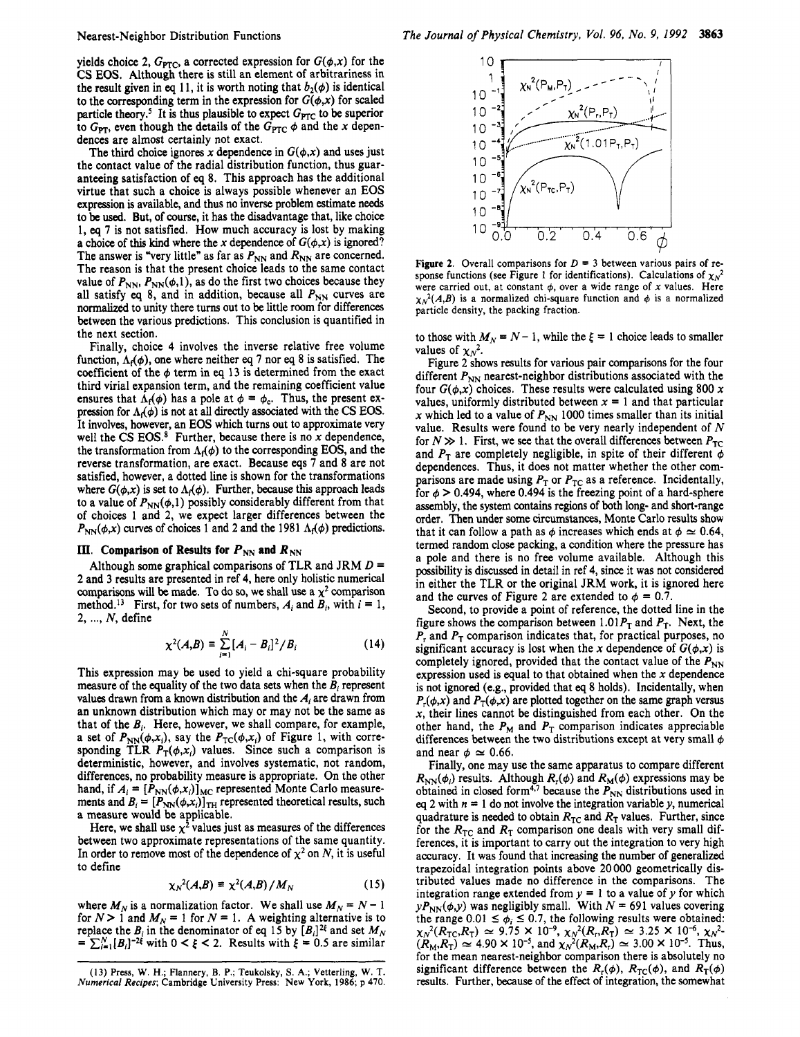#### Nearest-Neighbor Distribution Functions

yields choice 2,  $G_{\text{PTC}}$ , a corrected expression for  $G(\phi, x)$  for the CS **EOS.** Although there is still an element of arbitrariness in the result given in eq 11, it is worth noting that  $b_2(\phi)$  is identical to the corresponding term in the expression for  $G(\phi, x)$  for scaled particle theory.<sup>5</sup> It is thus plausible to expect  $G_{\text{PTC}}$  to be superior to  $G_{\text{PT}}$ , even though the details of the  $G_{\text{PTC}}$   $\phi$  and the x dependences are almost certainly not exact.

The third choice ignores x dependence in  $G(\phi, x)$  and uses just the contact value of the radial distribution function, thus guaranteeing satisfaction of *eq* 8. This approach has the additional virtue that such a choice is always possible whenever an **EOS**  expression is available, and thus no inverse problem estimate needs to be used. But, of course, it has the disadvantage that, like choice 1, *eq* 7 is not satisfied. How much accuracy is lost by making a choice of this kind where the x dependence of  $G(\phi, x)$  is ignored? The answer is "very little" as far as  $P_{NN}$  and  $R_{NN}$  are concerned. The reason is that the present choice leads to the same contact value of  $P_{NN}$ ,  $P_{NN}(\phi,1)$ , as do the first two choices because they all satisfy  $eq 8$ , and in addition, because all  $P_{NN}$  curves are normalized to unity there turns out to be little room for differences between the various predictions. This conclusion is quantified in the next section.

Finally, choice 4 involves the inverse relative free volume function,  $\Lambda_f(\phi)$ , one where neither eq 7 nor eq 8 is satisfied. The coefficient of the  $\phi$  term in eq 13 is determined from the exact third virial expansion term, and the remaining coefficient value ensures that  $\Lambda_f(\phi)$  has a pole at  $\phi = \phi_c$ . Thus, the present expression for  $\Lambda_f(\phi)$  is not at all directly associated with the CS **EOS**. It involves, however, an **EOS** which turns out to approximate very well the **CS EOS.\*** Further, because there is no x dependence, the transformation from  $\Lambda_f(\phi)$  to the corresponding EOS, and the reverse transformation, are exact. Because eqs 7 and 8 are not satisfied, however, a dotted line is shown for the transformations where  $G(\phi, x)$  is set to  $\Lambda_f(\phi)$ . Further, because this approach leads to a value of  $P_{NN}(\phi,1)$  possibly considerably different from that of choices 1 and 2, we expect larger differences between the  $P_{NN}(\phi, x)$  curves of choices 1 and 2 and the 1981  $\Lambda_1(\phi)$  predictions.

### **111.** Comparison of Results for  $P_{NN}$  and  $R_{NN}$

Although some graphical comparisons of TLR and JRM *D* = **2** and 3 results are presented in ref 4, here only holistic numerical comparisons will be made. To do so, we shall use a  $\chi^2$  comparison method.<sup>13</sup> First, for two sets of numbers,  $A_i$  and  $B_i$ , with  $i = 1$ , 2, ..., N, define

$$
\chi^2(A,B) \equiv \sum_{i=1}^N [A_i - B_i]^2 / B_i
$$
 (14)

This expression may be used to yield a chi-square probability measure **of** the equality of the two data sets when the *E,* represent values drawn from a **known** distribution and the *Ai* are drawn from an unknown distribution which may or may not be the same as that of the  $B_i$ . Here, however, we shall compare, for example, a set of  $P_{NN}(\phi, x_i)$ , say the  $P_{TC}(\phi, x_i)$  of Figure 1, with corresponding TLR  $\vec{P}_T(\phi, x_i)$  values. Since such a comparison is deterministic, however, and involves systematic, not random, differences, no probability measure is appropriate. On the other hand, if  $A_i = [P_{NN}(\phi, x_i)]_{MC}$  represented Monte Carlo measurements and  $B_i = [P_{NN}(\phi, x_i)]_{TH}$  represented theoretical results, such a measure would be applicable.

Here, we shall use  $\chi^2$  values just as measures of the differences between two approximate representations of the same quantity. In order to remove most of the dependence of  $\chi^2$  on *N*, it is useful to define

$$
\chi_N^2(A,B) \equiv \chi^2(A,B)/M_N \tag{15}
$$

where  $M_N$  is a normalization factor. We shall use  $M_N = N - 1$ for  $N > 1$  and  $M_N = 1$  for  $N = 1$ . A weighting alternative is to replace the  $B_i$  in the denominator of eq 15 by  $[B_i]^2$  and set  $M_N$  $= \sum_{i=1}^{N} [B_i]^{-2\xi}$  with  $0 < \xi < 2$ . Results with  $\xi = 0.5$  are similar



**Figure 2.** Overall comparisons for  $D = 3$  between various pairs of response functions (see Figure 1 for identifications). Calculations of  $\chi_N^2$ were carried out, at constant  $\phi$ , over a wide range of x values. Here  $\chi_N^2(A,B)$  is a normalized chi-square function and  $\phi$  is a normalized particle density, the packing fraction.

to those with  $M_N = N - 1$ , while the  $\xi = 1$  choice leads to smaller values of  $\chi_N^2$ .

Figure **2** shows results for various pair comparisons for the four different  $P_{NN}$  nearest-neighbor distributions associated with the four  $G(\phi, x)$  choices. These results were calculated using 800 x values, uniformly distributed between  $x = 1$  and that particular x which led to a value of  $P_{\text{NN}}$  1000 times smaller than its initial value. Results were found to be very nearly independent of *N*  for  $N \gg 1$ . First, we see that the overall differences between  $P_{TC}$ and  $P_T$  are completely negligible, in spite of their different  $\phi$ dependences. Thus, it does not matter whether the other comparisons are made using  $P<sub>T</sub>$  or  $P<sub>TC</sub>$  as a reference. Incidentally, for  $\phi > 0.494$ , where 0.494 is the freezing point of a hard-sphere assembly, the system contains regions of both long- and short-range order. Then under some circumstances, Monte Carlo results show that it can follow a path as  $\phi$  increases which ends at  $\phi \simeq 0.64$ , termed random close packing, a condition where the pressure has a pole and there is no free volume available. Although this possibility is discussed in detail in ref 4, since it was not considered in either the TLR or the original JRM work, it is ignored here and the curves of Figure 2 are extended to  $\phi = 0.7$ .

Second, to provide a point of reference, the dotted line in the figure shows the comparison between 1.01 $P_T$  and  $P_T$ . Next, the  $P<sub>r</sub>$  and  $P<sub>T</sub>$  comparison indicates that, for practical purposes, no significant accuracy is lost when the x dependence of  $G(\phi, x)$  is completely ignored, provided that the contact value of the  $P_{NN}$ expression used is equal to that obtained when the  $x$  dependence is not ignored (e.g., provided that *eq* 8 holds). Incidentally, when  $P_r(\phi, x)$  and  $P_T(\phi, x)$  are plotted together on the same graph versus  $x$ , their lines cannot be distinguished from each other. On the other hand, the  $P_M$  and  $P_T$  comparison indicates appreciable differences between the two distributions except at very small  $\phi$ and near  $\phi \approx 0.66$ .

Finally, one may use the same apparatus to compare different  $R_{NN}(\phi_i)$  results. Although  $R_f(\phi)$  and  $R_M(\phi)$  expressions may be obtained in closed form<sup>4,7</sup> because the  $P_{NN}$  distributions used in eq 2 with  $n = 1$  do not involve the integration variable y, numerical quadrature is needed to obtain  $R_{TC}$  and  $R_T$  values. Further, since for the  $R_{TC}$  and  $R_T$  comparison one deals with very small differences, it is important to carry out the integration to very high accuracy. It was found that increasing the number of generalized trapezoidal integration points above 20 000 geometrically distributed values made no difference in the comparisons. The integration range extended from  $y = 1$  to a value of y for which  $yP_{\text{NN}}(\phi, y)$  was negligibly small. With  $N = 691$  values covering the range  $0.01 \le \phi_i \le 0.7$ , the following results were obtained:  $(R_M, R_T) \simeq 4.90 \times 10^{-5}$ , and  $\chi_N^2(R_M, R_T) \simeq 3.00 \times 10^{-5}$ . Thus, for the mean nearest-neighbor comparison there is absolutely no significant difference between the  $R_r(\phi)$ ,  $R_{TC}(\phi)$ , and  $R_T(\phi)$ results. Further, **because** of the effect of integration, the somewhat  $\chi_N^2(R_{\text{TC}},R_{\text{T}}) \approx 9.75 \times 10^{-9}, \chi_N^2(R_r,R_{\text{T}}) \approx 3.25 \times 10^{-6}, \chi_N^2$ 

**<sup>(13)</sup> Press,** W. H.; Flannery, B. P.; Teukolsky, **S. A.;** Vetterling, **W.** T. *Numerical* Recipes; Cambridge University Press: **New York,** 1986; **p 470.**